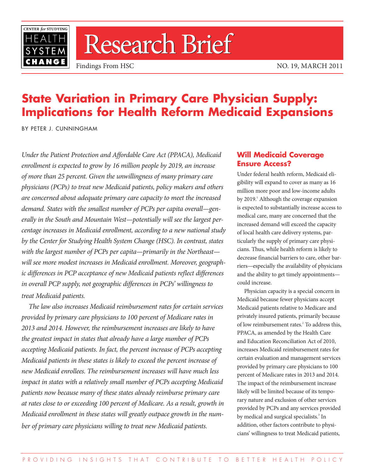

# Research Brief

## **State Variation in Primary Care Physician Supply: Implications for Health Reform Medicaid Expansions**

BY PETER J. CUNNINGHAM

*Under the Patient Protection and Affordable Care Act (PPACA), Medicaid enrollment is expected to grow by 16 million people by 2019, an increase of more than 25 percent. Given the unwillingness of many primary care physicians (PCPs) to treat new Medicaid patients, policy makers and others are concerned about adequate primary care capacity to meet the increased demand. States with the smallest number of PCPs per capita overall—generally in the South and Mountain West—potentially will see the largest percentage increases in Medicaid enrollment, according to a new national study by the Center for Studying Health System Change (HSC). In contrast, states with the largest number of PCPs per capita—primarily in the Northeast will see more modest increases in Medicaid enrollment. Moreover, geographic differences in PCP acceptance of new Medicaid patients reflect differences in overall PCP supply, not geographic differences in PCPs' willingness to treat Medicaid patients.*

*The law also increases Medicaid reimbursement rates for certain services provided by primary care physicians to 100 percent of Medicare rates in 2013 and 2014. However, the reimbursement increases are likely to have the greatest impact in states that already have a large number of PCPs accepting Medicaid patients. In fact, the percent increase of PCPs accepting Medicaid patients in these states is likely to exceed the percent increase of new Medicaid enrollees. The reimbursement increases will have much less impact in states with a relatively small number of PCPs accepting Medicaid patients now because many of these states already reimburse primary care at rates close to or exceeding 100 percent of Medicare. As a result, growth in Medicaid enrollment in these states will greatly outpace growth in the number of primary care physicians willing to treat new Medicaid patients.* 

## **Will Medicaid Coverage Ensure Access?**

Under federal health reform, Medicaid eligibility will expand to cover as many as 16 million more poor and low-income adults by 2019.<sup>1</sup> Although the coverage expansion is expected to substantially increase access to medical care, many are concerned that the increased demand will exceed the capacity of local health care delivery systems, particularly the supply of primary care physicians. Thus, while health reform is likely to decrease financial barriers to care, other barriers—especially the availability of physicians and the ability to get timely appointments could increase.

Physician capacity is a special concern in Medicaid because fewer physicians accept Medicaid patients relative to Medicare and privately insured patients, primarily because of low reimbursement rates.<sup>2</sup> To address this, PPACA, as amended by the Health Care and Education Reconciliation Act of 2010, increases Medicaid reimbursement rates for certain evaluation and management services provided by primary care physicians to 100 percent of Medicare rates in 2013 and 2014. The impact of the reimbursement increase likely will be limited because of its temporary nature and exclusion of other services provided by PCPs and any services provided by medical and surgical specialists.<sup>3</sup> In addition, other factors contribute to physicians' willingness to treat Medicaid patients,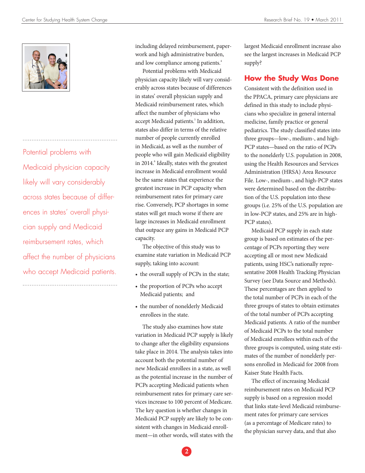

Potential problems with Medicaid physician capacity likely will vary considerably across states because of differences in states' overall physician supply and Medicaid reimbursement rates, which affect the number of physicians who accept Medicaid patients.

including delayed reimbursement, paperwork and high administrative burden, and low compliance among patients.<sup>4</sup>

Potential problems with Medicaid physician capacity likely will vary considerably across states because of differences in states' overall physician supply and Medicaid reimbursement rates, which affect the number of physicians who accept Medicaid patients.<sup>5</sup> In addition, states also differ in terms of the relative number of people currently enrolled in Medicaid, as well as the number of people who will gain Medicaid eligibility in 2014.<sup>6</sup> Ideally, states with the greatest increase in Medicaid enrollment would be the same states that experience the greatest increase in PCP capacity when reimbursement rates for primary care rise. Conversely, PCP shortages in some states will get much worse if there are large increases in Medicaid enrollment that outpace any gains in Medicaid PCP capacity.

The objective of this study was to examine state variation in Medicaid PCP supply, taking into account:

- the overall supply of PCPs in the state;
- the proportion of PCPs who accept Medicaid patients; and
- the number of nonelderly Medicaid enrollees in the state.

The study also examines how state variation in Medicaid PCP supply is likely to change after the eligibility expansions take place in 2014. The analysis takes into account both the potential number of new Medicaid enrollees in a state, as well as the potential increase in the number of PCPs accepting Medicaid patients when reimbursement rates for primary care services increase to 100 percent of Medicare. The key question is whether changes in Medicaid PCP supply are likely to be consistent with changes in Medicaid enrollment—in other words, will states with the

largest Medicaid enrollment increase also see the largest increases in Medicaid PCP supply?

### **How the Study Was Done**

Consistent with the definition used in the PPACA, primary care physicians are defined in this study to include physicians who specialize in general internal medicine, family practice or general pediatrics. The study classified states into three groups—low-, medium-, and high-PCP states—based on the ratio of PCPs to the nonelderly U.S. population in 2008, using the Health Resources and Services Administration (HRSA) Area Resource File. Low-, medium-, and high-PCP states were determined based on the distribution of the U.S. population into these groups (i.e. 25% of the U.S. population are in low-PCP states, and 25% are in high-PCP states).

Medicaid PCP supply in each state group is based on estimates of the percentage of PCPs reporting they were accepting all or most new Medicaid patients, using HSC's nationally representative 2008 Health Tracking Physician Survey (see Data Source and Methods). These percentages are then applied to the total number of PCPs in each of the three groups of states to obtain estimates of the total number of PCPs accepting Medicaid patients. A ratio of the number of Medicaid PCPs to the total number of Medicaid enrollees within each of the three groups is computed, using state estimates of the number of nonelderly persons enrolled in Medicaid for 2008 from Kaiser State Health Facts.

The effect of increasing Medicaid reimbursement rates on Medicaid PCP supply is based on a regression model that links state-level Medicaid reimbursement rates for primary care services (as a percentage of Medicare rates) to the physician survey data, and that also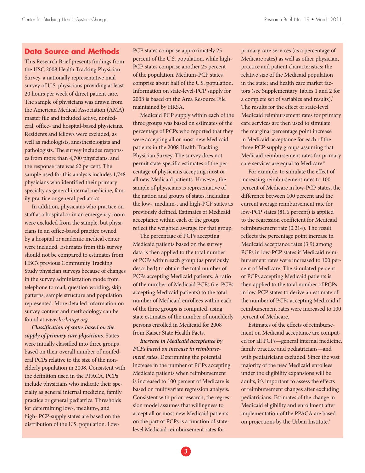#### **Data Source and Methods**

This Research Brief presents findings from the HSC 2008 Health Tracking Physician Survey, a nationally representative mail survey of U.S. physicians providing at least 20 hours per week of direct patient care. The sample of physicians was drawn from the American Medical Association (AMA) master file and included active, nonfederal, office- and hospital-based physicians. Residents and fellows were excluded, as well as radiologists, anesthesiologists and pathologists. The survey includes responses from more than 4,700 physicians, and the response rate was 62 percent. The sample used for this analysis includes 1,748 physicians who identified their primary specialty as general internal medicine, family practice or general pediatrics.

In addition, physicians who practice on staff at a hospital or in an emergency room were excluded from the sample, but physicians in an office-based practice owned by a hospital or academic medical center were included. Estimates from this survey should not be compared to estimates from HSC's previous Community Tracking Study physician surveys because of changes in the survey administration mode from telephone to mail, question wording, skip patterns, sample structure and population represented. More detailed information on survey content and methodology can be found at *www.hschange.org*.

*Classification of states based on the supply of primary care physicians*. States were initially classified into three groups based on their overall number of nonfederal PCPs relative to the size of the nonelderly population in 2008. Consistent with the definition used in the PPACA, PCPs include physicians who indicate their specialty as general internal medicine, family practice or general pediatrics. Thresholds for determining low-, medium-, and high- PCP-supply states are based on the distribution of the U.S. population. LowPCP states comprise approximately 25 percent of the U.S. population, while high-PCP states comprise another 25 percent of the population. Medium-PCP states comprise about half of the U.S. population. Information on state-level-PCP supply for 2008 is based on the Area Resource File maintained by HRSA.

Medicaid PCP supply within each of the three groups was based on estimates of the percentage of PCPs who reported that they were accepting all or most new Medicaid patients in the 2008 Health Tracking Physician Survey. The survey does not permit state-specific estimates of the percentage of physicians accepting most or all new Medicaid patients. However, the sample of physicians is representative of the nation and groups of states, including the low-, medium-, and high-PCP states as previously defined. Estimates of Medicaid acceptance within each of the groups reflect the weighted average for that group.

The percentage of PCPs accepting Medicaid patients based on the survey data is then applied to the total number of PCPs within each group (as previously described) to obtain the total number of PCPs accepting Medicaid patients. A ratio of the number of Medicaid PCPs (i.e. PCPs accepting Medicaid patients) to the total number of Medicaid enrollees within each of the three groups is computed, using state estimates of the number of nonelderly persons enrolled in Medicaid for 2008 from Kaiser State Health Facts.

*Increase in Medicaid acceptance by PCPs based on increase in reimbursement rates.* Determining the potential increase in the number of PCPs accepting Medicaid patients when reimbursement is increased to 100 percent of Medicare is based on multivariate regression analysis. Consistent with prior research, the regression model assumes that willingness to accept all or most new Medicaid patients on the part of PCPs is a function of statelevel Medicaid reimbursement rates for

primary care services (as a percentage of Medicare rates) as well as other physician, practice and patient characteristics; the relative size of the Medicaid population in the state; and health care market factors (see Supplementary Tables 1 and 2 for a complete set of variables and results).<sup>7</sup> The results for the effect of state-level Medicaid reimbursement rates for primary care services are then used to simulate the marginal percentage point increase in Medicaid acceptance for each of the three PCP-supply groups assuming that Medicaid reimbursement rates for primary care services are equal to Medicare.<sup>8</sup>

For example, to simulate the effect of increasing reimbursement rates to 100 percent of Medicare in low-PCP states, the difference between 100 percent and the current average reimbursement rate for low-PCP states (81.6 percent) is applied to the regression coefficient for Medicaid reimbursement rate (0.214). The result reflects the percentage point increase in Medicaid acceptance rates (3.9) among PCPs in low-PCP states if Medicaid reimbursement rates were increased to 100 percent of Medicare. The simulated percent of PCPs accepting Medicaid patients is then applied to the total number of PCPs in low-PCP states to derive an estimate of the number of PCPs accepting Medicaid if reimbursement rates were increased to 100 percent of Medicare.

Estimates of the effects of reimbursement on Medicaid acceptance are computed for all PCPs—general internal medicine, family practice and pediatricians—and with pediatricians excluded. Since the vast majority of the new Medicaid enrollees under the eligibility expansions will be adults, it's important to assess the effects of reimbursement changes after excluding pediatricians. Estimates of the change in Medicaid eligibility and enrollment after implementation of the PPACA are based on projections by the Urban Institute.<sup>9</sup>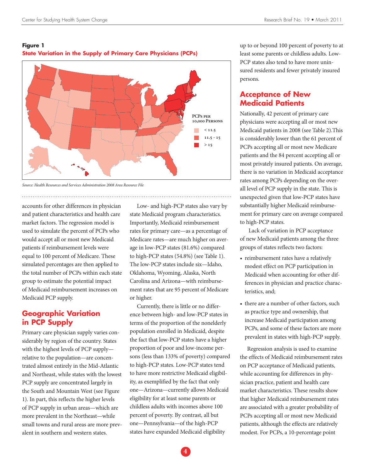#### **Figure 1 State Variation in the Supply of Primary Care Physicians (PCPs)**



*Source: Health Resources and Services Administration 2008 Area Resource File*

accounts for other differences in physician and patient characteristics and health care market factors. The regression model is used to simulate the percent of PCPs who would accept all or most new Medicaid patients if reimbursement levels were equal to 100 percent of Medicare. These simulated percentages are then applied to the total number of PCPs within each state group to estimate the potential impact of Medicaid reimbursement increases on Medicaid PCP supply.

## **Geographic Variation in PCP Supply**

Primary care physician supply varies considerably by region of the country. States with the highest levels of PCP supply relative to the population—are concentrated almost entirely in the Mid-Atlantic and Northeast, while states with the lowest PCP supply are concentrated largely in the South and Mountain West (see Figure 1). In part, this reflects the higher levels of PCP supply in urban areas—which are more prevalent in the Northeast—while small towns and rural areas are more prevalent in southern and western states.

Low- and high-PCP states also vary by state Medicaid program characteristics. Importantly, Medicaid reimbursement rates for primary care—as a percentage of Medicare rates—are much higher on average in low-PCP states (81.6%) compared to high-PCP states (54.8%) (see Table 1). The low-PCP states include six—Idaho, Oklahoma, Wyoming, Alaska, North Carolina and Arizona—with reimbursement rates that are 95 percent of Medicare or higher.

Currently, there is little or no difference between high- and low-PCP states in terms of the proportion of the nonelderly population enrolled in Medicaid, despite the fact that low-PCP states have a higher proportion of poor and low-income persons (less than 133% of poverty) compared to high-PCP states. Low-PCP states tend to have more restrictive Medicaid eligibility, as exemplified by the fact that only one—Arizona—currently allows Medicaid eligibility for at least some parents or childless adults with incomes above 100 percent of poverty. By contrast, all but one—Pennsylvania—of the high-PCP states have expanded Medicaid eligibility

up to or beyond 100 percent of poverty to at least some parents or childless adults. Low-PCP states also tend to have more uninsured residents and fewer privately insured persons.

## **Acceptance of New Medicaid Patients**

Nationally, 42 percent of primary care physicians were accepting all or most new Medicaid patients in 2008 (see Table 2).This is considerably lower than the 61 percent of PCPs accepting all or most new Medicare patients and the 84 percent accepting all or most privately insured patients. On average, there is no variation in Medicaid acceptance rates among PCPs depending on the overall level of PCP supply in the state. This is unexpected given that low-PCP states have substantially higher Medicaid reimbursement for primary care on average compared to high-PCP states.

 Lack of variation in PCP acceptance of new Medicaid patients among the three groups of states reflects two factors:

- reimbursement rates have a relatively modest effect on PCP participation in Medicaid when accounting for other differences in physician and practice characteristics, and;
- there are a number of other factors, such as practice type and ownership, that increase Medicaid participation among PCPs, and some of these factors are more prevalent in states with high-PCP supply.

Regression analysis is used to examine the effects of Medicaid reimbursement rates on PCP acceptance of Medicaid patients, while accounting for differences in physician practice, patient and health care market characteristics. These results show that higher Medicaid reimbursement rates are associated with a greater probability of PCPs accepting all or most new Medicaid patients, although the effects are relatively modest. For PCPs, a 10-percentage point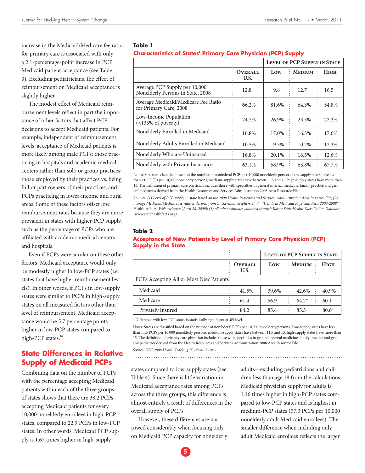increase in the Medicaid/Medicare fee ratio for primary care is associated with only a 2.1-percentage-point increase in PCP Medicaid patient acceptance (see Table 3). Excluding pediatricians, the effect of reimbursement on Medicaid acceptance is slightly higher.

The modest effect of Medicaid reimbursement levels reflect in part the importance of other factors that affect PCP decisions to accept Medicaid patients. For example, independent of reimbursement levels, acceptance of Medicaid patients is more likely among male PCPs; those practicing in hospitals and academic medical centers rather than solo or group practices; those employed by their practices vs. being full or part owners of their practices; and PCPs practicing in lower-income and rural areas. Some of these factors offset low reimbursement rates because they are more prevalent in states with higher-PCP supply, such as the percentage of PCPs who are affiliated with academic medical centers and hospitals.

Even if PCPs were similar on these other factors, Medicaid acceptance would only be modestly higher in low-PCP states (i.e. states that have higher reimbursement levels). In other words, if PCPs in low-supply states were similar to PCPs in high-supply states on all measured factors other than level of reimbursement, Medicaid acceptance would be 5.7 percentage points higher in low-PCP states compared to high-PCP states.<sup>10</sup>

## **State Differences in Relative Supply of Medicaid PCPs**

Combining data on the number of PCPs with the percentage accepting Medicaid patients within each of the three groups of states shows that there are 38.2 PCPs accepting Medicaid patients for every 10,000 nonelderly enrollees in high-PCP states, compared to 22.9 PCPs in low-PCP states. In other words, Medicaid PCP supply is 1.67 times higher in high-supply

#### **Table 1**

#### **Characteristics of States' Primary Care Physician (PCP) Supply**

|                                                                    |                        | <b>LEVEL OF PCP SUPPLY IN STATE</b> |               |       |
|--------------------------------------------------------------------|------------------------|-------------------------------------|---------------|-------|
|                                                                    | <b>OVERALL</b><br>U.S. | Low                                 | <b>MEDIUM</b> | Ніgн  |
| Average PCP Supply per 10,000<br>Nonelderly Persons in State, 2008 | 12.8                   | 9.8                                 | 12.7          | 16.5  |
| Average Medicaid/Medicare Fee Ratio<br>for Primary Care, 2008      | 66.2%                  | 81.6%                               | 64.3%         | 54.8% |
| Low-Income Population<br>$(<$ 133% of poverty)                     | 24.7%                  | 26.9%                               | 23.3%         | 22.3% |
| Nonelderly Enrolled in Medicaid                                    | 16.8%                  | 17.0%                               | 16.3%         | 17.6% |
| Nonelderly Adults Enrolled in Medicaid                             | 10.5%                  | 9.3%                                | 10.2%         | 12.3% |
| Nonelderly Who are Uninsured                                       | 16.8%                  | 20.1%                               | 16.5%         | 12.6% |
| Nonelderly with Private Insurance                                  | 63.1%                  | 58.9%                               | 63.8%         | 67.7% |

Notes: States are classified based on the number of nonfederal PCPs per 10,000 nonelderly persons. Low-supply states have less than 11.5 PCPs per 10,000 nonelderly persons; medium-supply states have between 11.5 and 15; high-supply states have more than 15. The definition of primary care physician includes those with specialties in general internal medicine, family practice and general pediatrics derived from the Health Resources and Services Administration 2008 Area Resource File.

*Sources: (1) Level of PCP supply in state based on the 2008 Health Resources and Services Administration Area Resource File; (2) average Medicaid/Medicare fee ratio is derived from Zuckerman, Stephen, et al., "Trends In Medicaid Physician Fees, 2003-2008,"*  Health Affairs, *Web exclusive (April 28, 2009); (3) all other estimates obtained through Kaiser State Health Facts Online Database (*www.statehealthfacts.org*).*

#### **Table 2**

#### **Acceptance of New Patients by Level of Primary Care Physician (PCP) Supply in the State**

|                                         |                        | LEVEL OF PCP SUPPLY IN STATE |               |             |  |  |  |
|-----------------------------------------|------------------------|------------------------------|---------------|-------------|--|--|--|
|                                         | <b>OVERALL</b><br>U.S. | Low                          | <b>MEDIUM</b> | <b>HIGH</b> |  |  |  |
| PCPs Accepting All or Most New Patients |                        |                              |               |             |  |  |  |
| Medicaid                                | 41.5%                  | 39.6%                        | 42.6%         | 40.9%       |  |  |  |
| Medicare                                | 61.4                   | 56.9                         | $64.2*$       | 60.1        |  |  |  |
| Privately Insured                       | 84.2                   | 85.4                         | 85.3          | $80.6*$     |  |  |  |

\* Difference with low-PCP states is statistically significant at .05 level.

Notes: States are classified based on the number of nonfederal PCPs per 10,000 nonelderly persons. Low-supply states have less than 11.5 PCPs per 10,000 nonelderly persons; medium-supply states have between 11.5 and 15; high-supply states have more than 15. The definition of primary care physician includes those with specialties in general internal medicine, family practice and general pediatrics derived from the Health Resources and Services Administration 2008 Area Resource File.

*Source: HSC 2008 Health Tracking Physician Survey*

states compared to low-supply states (see Table 4). Since there is little variation in Medicaid acceptance rates among PCPs across the three groups, this difference is almost entirely a result of differences in the overall supply of PCPs.

However, these differences are narrowed considerably when focusing only on Medicaid PCP capacity for nonelderly adults—excluding pediatricians and children less than age 18 from the calculations. Medicaid physician supply for adults is 1.16 times higher in high-PCP states compared to low-PCP states and is highest in medium-PCP states (57.3 PCPs per 10,000 nonelderly adult Medicaid enrollees). The smaller difference when including only adult Medicaid enrollees reflects the larger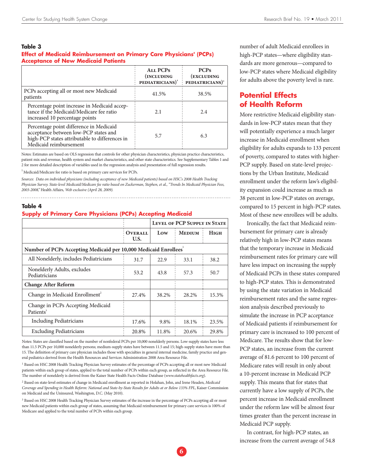#### **Table 3**

#### **Effect of Medicaid Reimbursement on Primary Care Physicians' (PCPs) Acceptance of New Medicaid Patients**

|                                                                                                                                                              | <b>ALL PCPS</b><br>(INCLUDING<br>PEDIATRICIANS) <sup>1</sup> | <b>PCPs</b><br>(EXCLUDING<br>$\frac{1}{2}$ PEDIATRICIANS) <sup>1</sup> |
|--------------------------------------------------------------------------------------------------------------------------------------------------------------|--------------------------------------------------------------|------------------------------------------------------------------------|
| PCPs accepting all or most new Medicaid<br>patients                                                                                                          | 41.5%                                                        | 38.5%                                                                  |
| Percentage point increase in Medicaid accep-<br>tance if the Medicaid/Medicare fee ratio<br>increased 10 percentage points                                   | 2.1                                                          | 2.4                                                                    |
| Percentage point difference in Medicaid<br>acceptance between low-PCP states and<br>high-PCP states attributable to differences in<br>Medicaid reimbursement | 5.7                                                          | 6.3                                                                    |

Notes: Estimates are based on OLS regression that controls for other physician characteristics, physician practice characteristics, patient mix and revenue, health system and market characteristics, and other state characteristics. See Supplementary Tables 1 and 2 for more detailed description of variables used in the regression analysis and presentation of full regression results.

<sup>1</sup> Medicaid/Medicare fee ratio is based on primary care services for PCPs.

*Sources: Data on individual physicians (including acceptance of new Medicaid patients) based on HSC's 2008 Health Tracking Physician Survey. State-level Medicaid/Medicare fee ratio based on Zuckerman, Stephen, et al., "Trends In Medicaid Physician Fees, 2003-2008,"* Health Affairs*, Web exclusive (April 28, 2009).*

#### **Table 4**

#### **Supply of Primary Care Physicians (PCPs) Accepting Medicaid**

|                                                                              |                        | <b>LEVEL OF PCP SUPPLY IN STATE</b> |               |             |  |  |  |
|------------------------------------------------------------------------------|------------------------|-------------------------------------|---------------|-------------|--|--|--|
|                                                                              | <b>OVERALL</b><br>U.S. | Low                                 | <b>MEDIUM</b> | <b>HIGH</b> |  |  |  |
| Number of PCPs Accepting Medicaid per 10,000 Medicaid Enrollees <sup>1</sup> |                        |                                     |               |             |  |  |  |
| All Nonelderly, includes Pediatricians                                       | 31.7                   | 22.9                                | 33.1          | 38.2        |  |  |  |
| Nonelderly Adults, excludes<br>Pediatricians                                 | 53.2                   | 43.8                                | 57.3          | 50.7        |  |  |  |
| <b>Change After Reform</b>                                                   |                        |                                     |               |             |  |  |  |
| Change in Medicaid Enrollment <sup>2</sup>                                   | 27.4%                  | 38.2%                               | 28.2%         | 15.3%       |  |  |  |
| Change in PCPs Accepting Medicaid<br>Patients <sup>3</sup>                   |                        |                                     |               |             |  |  |  |
| <b>Including Pediatricians</b>                                               | 17.6%                  | 9.8%                                | 18.1%         | 23.5%       |  |  |  |
| <b>Excluding Pediatricians</b>                                               | 20.8%                  | 11.8%                               | 20.6%         | 29.8%       |  |  |  |

Notes: States are classified based on the number of nonfederal PCPs per 10,000 nonelderly persons. Low-supply states have less than 11.5 PCPs per 10,000 nonelderly persons; medium-supply states have between 11.5 and 15; high-supply states have more than 15. The definition of primary care physician includes those with specialties in general internal medicine, family practice and general pediatrics derived from the Health Resources and Services Administration 2008 Area Resource File.

<sup>1</sup> Based on HSC 2008 Health Tracking Physician Survey estimates of the percentage of PCPs accepting all or most new Medicaid patients within each group of states, applied to the total number of PCPs within each group, as reflected in the Area Resource File. The number of nonelderly is derived from the Kaiser State Health Facts Online Database (*www.statehealthfacts.org*).

2 Based on state-level estimates of change in Medicaid enrollment as reported in Holahan, John, and Irene Headen, *Medicaid Coverage and Spending in Health Reform: National and State-by-State Results for Adults at or Below 133% FPL*, Kaiser Commission on Medicaid and the Uninsured, Washington, D.C. (May 2010).

<sup>3</sup> Based on HSC 2008 Health Tracking Physician Survey estimates of the increase in the percentage of PCPs accepting all or most new Medicaid patients within each group of states, assuming that Medicaid reimbursement for primary care services is 100% of Medicare and applied to the total number of PCPs within each group.

number of adult Medicaid enrollees in high-PCP states—where eligibility standards are more generous—compared to low-PCP states where Medicaid eligibility for adults above the poverty level is rare.

## **Potential Effects of Health Reform**

More restrictive Medicaid eligibility standards in low-PCP states mean that they will potentially experience a much larger increase in Medicaid enrollment when eligibility for adults expands to 133 percent of poverty, compared to states with higher-PCP supply. Based on state-level projections by the Urban Institute, Medicaid enrollment under the reform law's eligibility expansion could increase as much as 38 percent in low-PCP states on average, compared to 15 percent in high-PCP states. Most of these new enrollees will be adults.

Ironically, the fact that Medicaid reimbursement for primary care is already relatively high in low-PCP states means that the temporary increase in Medicaid reimbursement rates for primary care will have less impact on increasing the supply of Medicaid PCPs in these states compared to high-PCP states. This is demonstrated by using the state variation in Medicaid reimbursement rates and the same regression analysis described previously to simulate the increase in PCP acceptance of Medicaid patients if reimbursement for primary care is increased to 100 percent of Medicare. The results show that for low-PCP states, an increase from the current average of 81.6 percent to 100 percent of Medicare rates will result in only about a 10-percent increase in Medicaid PCP supply. This means that for states that currently have a low supply of PCPs, the percent increase in Medicaid enrollment under the reform law will be almost four times greater than the percent increase in Medicaid PCP supply.

In contrast, for high-PCP states, an increase from the current average of 54.8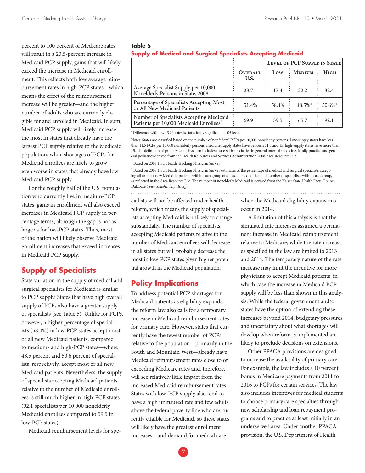percent to 100 percent of Medicare rates will result in a 23.5-percent increase in Medicaid PCP supply, gains that will likely exceed the increase in Medicaid enrollment. This reflects both low average reimbursement rates in high-PCP states—which means the effect of the reimbursement increase will be greater—and the higher number of adults who are currently eligible for and enrolled in Medicaid. In sum, Medicaid PCP supply will likely increase the most in states that already have the largest PCP supply relative to the Medicaid population, while shortages of PCPs for Medicaid enrollees are likely to grow even worse in states that already have low Medicaid PCP supply.

For the roughly half of the U.S. population who currently live in medium-PCP states, gains in enrollment will also exceed increases in Medicaid PCP supply in percentage terms, although the gap is not as large as for low-PCP states. Thus, most of the nation will likely observe Medicaid enrollment increases that exceed increases in Medicaid PCP supply.

## **Supply of Specialists**

State variation in the supply of medical and surgical specialists for Medicaid is similar to PCP supply. States that have high overall supply of PCPs also have a greater supply of specialists (see Table 5). Unlike for PCPs, however, a higher percentage of specialists (58.4%) in low-PCP states accept most or all new Medicaid patients, compared to medium- and high-PCP states—where 48.5 percent and 50.6 percent of specialists, respectively, accept most or all new Medicaid patients. Nevertheless, the supply of specialists accepting Medicaid patients relative to the number of Medicaid enrollees is still much higher in high-PCP states (92.1 specialists per 10,000 nonelderly Medicaid enrollees compared to 59.5 in low-PCP states).

Medicaid reimbursement levels for spe-

#### **Table 5**

#### **Supply of Medical and Surgical Specialists Accepting Medicaid**

|                                                                                                 |                        | LEVEL OF PCP SUPPLY IN STATE |            |             |
|-------------------------------------------------------------------------------------------------|------------------------|------------------------------|------------|-------------|
|                                                                                                 | <b>OVERALL</b><br>U.S. | Low                          | : Medium   | <b>HIGH</b> |
| Average Specialist Supply per 10,000<br>Nonelderly Persons in State, 2008                       | 23.7                   | 17.4                         | 22.2.      | 32.4        |
| Percentage of Specialists Accepting Most<br>or All New Medicaid Patients <sup>1</sup>           | 51.4%                  | 58.4%                        | $48.5\%$ * | $50.6\%$ *  |
| Number of Specialists Accepting Medicaid<br>Patients per 10,000 Medicaid Enrollees <sup>2</sup> | 69.9                   | 59.5                         | 65.7       | 92.1        |

\*Difference with low-PCP states is statistically significant at .05 level.

Notes: States are classified based on the number of nonfederal PCPs per 10,000 nonelderly persons. Low-supply states have less than 11.5 PCPs per 10,000 nonelderly persons; medium-supply states have between 11.5 and 15; high-supply states have more than 15. The definition of primary care physician includes those with specialties in general internal medicine, family practice and general pediatrics derived from the Health Resources and Services Administration 2008 Area Resource File.

<sup>1</sup> Based on 2008 HSC Health Tracking Physician Survey

<sup>2</sup> Based on 2008 HSC Health Tracking Physician Survey estimates of the percentage of medical and surgical specialists accepting all or most new Medicaid patients within each group of states, applied to the total number of specialists within each group, as reflected in the Area Resource File. The number of nonelderly Medicaid is derived from the Kaiser State Health Facts Online Database (*www.statehealthfacts.org*).

## cialists will not be affected under health reform, which means the supply of specialists accepting Medicaid is unlikely to change substantially. The number of specialists accepting Medicaid patients relative to the number of Medicaid enrollees will decrease in all states but will probably decrease the most in low-PCP states given higher potential growth in the Medicaid population.

## **Policy Implications**

To address potential PCP shortages for Medicaid patients as eligibility expands, the reform law also calls for a temporary increase in Medicaid reimbursement rates for primary care. However, states that currently have the fewest number of PCPs relative to the population—primarily in the South and Mountain West—already have Medicaid reimbursement rates close to or exceeding Medicare rates and, therefore, will see relatively little impact from the increased Medicaid reimbursement rates. States with low-PCP supply also tend to have a high uninsured rate and few adults above the federal poverty line who are currently eligible for Medicaid, so these states will likely have the greatest enrollment increases—and demand for medical carewhen the Medicaid eligibility expansions occur in 2014.

A limitation of this analysis is that the simulated rate increases assumed a permanent increase in Medicaid reimbursement relative to Medicare, while the rate increases specified in the law are limited to 2013 and 2014. The temporary nature of the rate increase may limit the incentive for more physicians to accept Medicaid patients, in which case the increase in Medicaid PCP supply will be less than shown in this analysis. While the federal government and/or states have the option of extending these increases beyond 2014, budgetary pressures and uncertainty about what shortages will develop when reform is implemented are likely to preclude decisions on extensions.

Other PPACA provisions are designed to increase the availability of primary care. For example, the law includes a 10 percent bonus in Medicare payments from 2011 to 2016 to PCPs for certain services. The law also includes incentives for medical students to choose primary care specialties through new scholarship and loan repayment programs and to practice at least initially in an underserved area. Under another PPACA provision, the U.S. Department of Health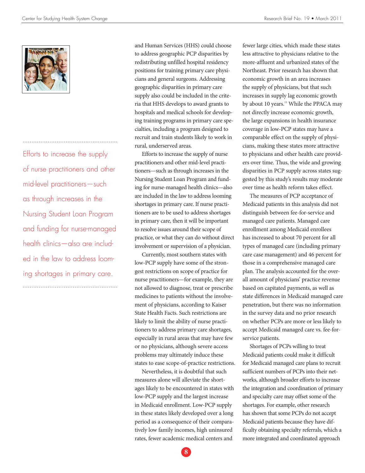

Efforts to increase the supply of nurse practitioners and other mid-level practitioners—such as through increases in the Nursing Student Loan Program and funding for nurse-managed health clinics—also are included in the law to address looming shortages in primary care.

and Human Services (HHS) could choose to address geographic PCP disparities by redistributing unfilled hospital residency positions for training primary care physicians and general surgeons. Addressing geographic disparities in primary care supply also could be included in the criteria that HHS develops to award grants to hospitals and medical schools for developing training programs in primary care specialties, including a program designed to recruit and train students likely to work in rural, underserved areas.

Efforts to increase the supply of nurse practitioners and other mid-level practitioners—such as through increases in the Nursing Student Loan Program and funding for nurse-managed health clinics—also are included in the law to address looming shortages in primary care. If nurse practitioners are to be used to address shortages in primary care, then it will be important to resolve issues around their scope of practice, or what they can do without direct involvement or supervision of a physician.

Currently, most southern states with low-PCP supply have some of the strongest restrictions on scope of practice for nurse practitioners—for example, they are not allowed to diagnose, treat or prescribe medicines to patients without the involvement of physicians, according to Kaiser State Health Facts. Such restrictions are likely to limit the ability of nurse practitioners to address primary care shortages, especially in rural areas that may have few or no physicians, although severe access problems may ultimately induce these states to ease scope-of-practice restrictions.

Nevertheless, it is doubtful that such measures alone will alleviate the shortages likely to be encountered in states with low-PCP supply and the largest increase in Medicaid enrollment. Low-PCP supply in these states likely developed over a long period as a consequence of their comparatively low family incomes, high uninsured rates, fewer academic medical centers and

fewer large cities, which made these states less attractive to physicians relative to the more-affluent and urbanized states of the Northeast. Prior research has shown that economic growth in an area increases the supply of physicians, but that such increases in supply lag economic growth by about 10 years.<sup>11</sup> While the PPACA may not directly increase economic growth, the large expansions in health insurance coverage in low-PCP states may have a comparable effect on the supply of physicians, making these states more attractive to physicians and other health care providers over time. Thus, the wide and growing disparities in PCP supply across states suggested by this study's results may moderate over time as health reform takes effect.

The measures of PCP acceptance of Medicaid patients in this analysis did not distinguish between fee-for-service and managed care patients. Managed care enrollment among Medicaid enrollees has increased to about 70 percent for all types of managed care (including primary care case management) and 46 percent for those in a comprehensive managed care plan. The analysis accounted for the overall amount of physicians' practice revenue based on capitated payments, as well as state differences in Medicaid managed care penetration, but there was no information in the survey data and no prior research on whether PCPs are more or less likely to accept Medicaid managed care vs. fee-forservice patients.

Shortages of PCPs willing to treat Medicaid patients could make it difficult for Medicaid managed care plans to recruit sufficient numbers of PCPs into their networks, although broader efforts to increase the integration and coordination of primary and specialty care may offset some of the shortages. For example, other research has shown that some PCPs do not accept Medicaid patients because they have difficulty obtaining specialty referrals, which a more integrated and coordinated approach

**8**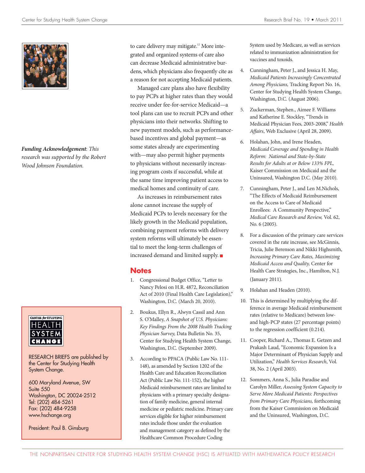

*Funding Acknowledgement*: *This research was supported by the Robert Wood Johnson Foundation.*



RESEARCH BRIEFS are published by the Center for Studying Health System Change.

600 Maryland Avenue, SW Suite 550 Washington, DC 20024-2512 Tel: (202) 484-5261 Fax: (202) 484-9258 www.hschange.org

President: Paul B. Ginsburg

to care delivery may mitigate.<sup>12</sup> More integrated and organized systems of care also can decrease Medicaid administrative burdens, which physicians also frequently cite as a reason for not accepting Medicaid patients.

Managed care plans also have flexibility to pay PCPs at higher rates than they would receive under fee-for-service Medicaid—a tool plans can use to recruit PCPs and other physicians into their networks. Shifting to new payment models, such as performancebased incentives and global payment—as some states already are experimenting with—may also permit higher payments to physicians without necessarily increasing program costs if successful, while at the same time improving patient access to medical homes and continuity of care.

As increases in reimbursement rates alone cannot increase the supply of Medicaid PCPs to levels necessary for the likely growth in the Medicaid population, combining payment reforms with delivery system reforms will ultimately be essential to meet the long-term challenges of increased demand and limited supply.

## **Notes**

- 1. Congressional Budget Office, "Letter to Nancy Pelosi on H.R. 4872, Reconciliation Act of 2010 (Final Health Care Legislation)," Washington, D.C. (March 20, 2010).
- 2. Boukus, Ellyn R., Alwyn Cassil and Ann S. O'Malley, *A Snapshot of U.S. Physicians: Key Findings From the 2008 Health Tracking Physician Survey,* Data Bulletin No. 35, Center for Studying Health System Change, Washington, D.C. (September 2009).
- 3. According to PPACA (Public Law No. 111- 148), as amended by Section 1202 of the Health Care and Education Reconciliation Act (Public Law No. 111-152), the higher Medicaid reimbursement rates are limited to physicians with a primary specialty designation of family medicine, general internal medicine or pediatric medicine. Primary care services eligible for higher reimbursement rates include those under the evaluation and management category as defined by the Healthcare Common Procedure Coding

System used by Medicare, as well as services related to immunization administration for vaccines and toxoids.

- 4. Cunningham, Peter J., and Jessica H. May, *Medicaid Patients Increasingly Concentrated Among Physicians,* Tracking Report No. 16, Center for Studying Health System Change, Washington, D.C. (August 2006).
- 5. Zuckerman, Stephen., Aimee F. Williams and Katherine E. Stockley, "Trends in Medicaid Physician Fees, 2003-2008," *Health Affairs*, Web Exclusive (April 28, 2009).
- 6. Holahan, John, and Irene Headen, *Medicaid Coverage and Spending in Health Reform: National and State-by-State Results for Adults at or Below 133% FPL,*  Kaiser Commission on Medicaid and the Uninsured, Washington D.C. (May 2010).
- 7. Cunningham, Peter J., and Len M.Nichols, "The Effects of Medicaid Reimbursement on the Access to Care of Medicaid Enrollees: A Community Perspective," *Medical Care Research and Review,* Vol. 62, No. 6 (2005).
- 8. For a discussion of the primary care services covered in the rate increase, see McGinnis, Tricia, Julie Berenson and Nikki Highsmith, *Increasing Primary Care Rates, Maximizing Medicaid Access and Quality,* Center for Health Care Strategies, Inc., Hamilton, N.J. (January 2011).
- 9. Holahan and Headen (2010).
- 10. This is determined by multiplying the difference in average Medicaid reimbursement rates (relative to Medicare) between lowand high-PCP states (27 percentage points) to the regression coefficient (0.214).
- 11. Cooper, Richard A., Thomas E. Getzen and Prakash Laud, "Economic Expansion Is a Major Determinant of Physician Supply and Utilization," *Health Services Research*, Vol. 38, No. 2 (April 2003).
- 12. Sommers, Anna S., Julia Paradise and Carolyn Miller, *Assessing System Capacity to Serve More Medicaid Patients: Perspectives from Primary Care Physicians,* forthcoming from the Kaiser Commission on Medicaid and the Uninsured, Washington, D.C.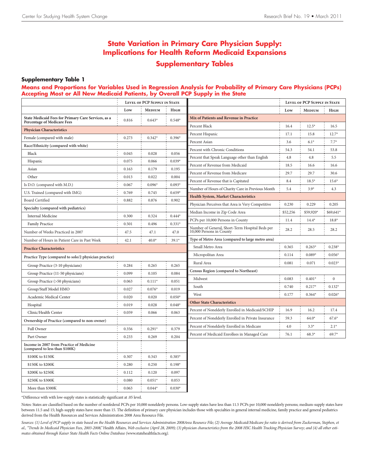## **State Variation in Primary Care Physician Supply: Implications for Health Reform Medicaid Expansions Supplementary Tables**

#### **Supplementary Table 1**

#### **Means and Proportions for Variables Used in Regression Analysis for Probability of Primary Care Physicians (PCPs) Accepting Most or All New Medicaid Patients, by Overall PCP Supply in the State**

|                                                                            | LEVEL OF PCP SUPPLY IN STATE |               |                  |                                                                          | LEVEL OF PCP SUPPLY IN STATE |               |              |
|----------------------------------------------------------------------------|------------------------------|---------------|------------------|--------------------------------------------------------------------------|------------------------------|---------------|--------------|
|                                                                            | Low                          | <b>MEDIUM</b> | HIGH             |                                                                          | Low                          | <b>MEDIUM</b> | Нісн         |
| State Medicaid Fees for Primary Care Services, as a                        | 0.816                        | $0.643*$      | $0.548*$         | Mix of Patients and Revenue in Practice                                  |                              |               |              |
| <b>Percentage of Medicare Fees</b>                                         |                              |               |                  | Percent Black                                                            | 16.4                         | $12.5*$       | 16.5         |
| <b>Physician Characteristics</b>                                           |                              |               |                  | Percent Hispanic                                                         | 17.1                         | 15.8          | $12.7*$      |
| Female (compared with male)                                                | 0.273                        | $0.342*$      | $0.396*$         | Percent Asian                                                            | 3.6                          | $6.1*$        | $7.7*$       |
| Race/Ethnicity (compared with white)                                       |                              |               |                  | Percent with Chronic Conditions                                          | 54.3                         | 54.1          | 53.8         |
| Black                                                                      | 0.045                        | 0.028         | 0.056            | Percent that Speak Language other than English                           | 4.8                          | 4.8           | 5.5          |
| Hispanic                                                                   | 0.075                        | 0.066         | $0.039*$         | Percent of Revenue from Medicaid                                         | 18.5                         | 16.6          | 16.6         |
| Asian                                                                      | 0.163                        | 0.179         | 0.195            | Percent of Revenue from Medicare                                         | 29.7                         | 29.7          | 30.6         |
| Other                                                                      | 0.013                        | 0.022         | 0.004            | Percent of Revenue that is Capitated                                     | 8.4                          | $18.5*$       | $15.6*$      |
| Is D.O. (compared with M.D.)                                               | 0.067                        | $0.096*$      | $0.093*$         | Number of Hours of Charity Care in Previous Month                        | 5.4                          | $3.9*$        | 4.3          |
| U.S. Trained (compared with IMG)                                           | 0.769                        | 0.745         | $0.659*$         | <b>Health System, Market Characteristics</b>                             |                              |               |              |
| Board Certified                                                            | 0.882                        | 0.876         | 0.902            | Physician Perceives that Area is Very Competitive                        | 0.230                        | 0.229         | 0.205        |
| Specialty (compared with pediatrics)                                       |                              |               |                  | Median Income in Zip Code Area                                           | \$52,256                     | \$59,920*     | \$69,641*    |
| Internal Medicine                                                          | 0.300                        | 0.324         | $0.444*$         | PCPs per 10,000 Persons in County                                        | 11.4                         | $14.4*$       | $18.8*$      |
| <b>Family Practice</b><br>Number of Weeks Practiced in 2007                | 0.501<br>47.5                | 0.496<br>47.1 | $0.331*$<br>47.0 | Number of General, Short-Term Hospital Beds per 10,000 Persons in County | 28.2                         | 28.5          | 28.2         |
| Number of Hours in Patient Care in Past Week                               | 42.1                         | $40.0*$       | $39.1*$          | Type of Metro Area (compared to large metro area)                        |                              |               |              |
| <b>Practice Characteristics</b>                                            |                              |               |                  | Small Metro Area                                                         | 0.365                        | $0.263*$      | $0.238*$     |
| Practice Type (compared to solo/2 physician practice)                      |                              |               |                  | Micropolitan Area                                                        | 0.114                        | $0.089*$      | $0.056*$     |
| Group Practice (3-10 physicians)                                           | 0.284                        | 0.265         | 0.265            | Rural Area                                                               | 0.081                        | 0.071         | $0.023*$     |
| Group Practice (11-50 physicians)                                          | 0.099                        | 0.105         | 0.084            | <b>Census Region (compared to Northeast)</b>                             |                              |               |              |
| Group Practice (>50 physicians)                                            | 0.063                        | $0.111*$      | 0.051            | Midwest                                                                  | 0.083                        | $0.401*$      | $\mathbf{0}$ |
| Group/Staff Model HMO                                                      | 0.027                        | $0.076*$      | 0.019            | South                                                                    | 0.740                        | $0.217*$      | $0.132*$     |
| Academic Medical Center                                                    | 0.020                        | 0.020         | $0.050*$         | West                                                                     | 0.177                        | $0.364*$      | $0.026*$     |
| Hospital                                                                   | 0.019                        | 0.028         | $0.048*$         | <b>Other State Characteristics</b>                                       |                              |               |              |
| Clinic/Health Center                                                       | 0.059                        | 0.066         | 0.063            | Percent of Nonelderly Enrolled in Medicaid/SCHIP                         | 16.9                         | 16.2          | 17.4         |
| Ownership of Practice (compared to non-owner)                              |                              |               |                  | Percent of Nonelderly Enrolled in Private Insurance                      | 59.3                         | $64.0*$       | $67.6*$      |
| Full Owner                                                                 | 0.356                        | $0.291*$      | 0.379            | Percent of Nonelderly Enrolled in Medicare                               | 4.0                          | $3.3*$        | $2.1*$       |
| Part Owner                                                                 | 0.233                        | 0.269         | 0.204            | Percent of Medicaid Enrollees in Managed Care                            | 76.1                         | $68.3*$       | $69.7*$      |
| Income in 2007 from Practice of Medicine<br>(compared to less than \$100K) |                              |               |                  |                                                                          |                              |               |              |
| \$100K to \$150K                                                           | 0.307                        | 0.343         | $0.385*$         |                                                                          |                              |               |              |
| \$150K to \$200K                                                           | 0.280                        | 0.250         | $0.198*$         |                                                                          |                              |               |              |
| \$200K to \$250K                                                           | 0.112                        | 0.120         | 0.097            |                                                                          |                              |               |              |
| \$250K to \$300K                                                           | 0.080                        | $0.051*$      | 0.053            |                                                                          |                              |               |              |
| More than \$300K                                                           | 0.063                        | $0.044*$      | $0.030*$         |                                                                          |                              |               |              |

\*Difference with with low-supply states is statistically significant at .05 level.

Notes: States are classified based on the number of nonfederal PCPs per 10,000 nonelderly persons. Low-supply states have less than 11.5 PCPs per 10,000 nonelderly persons; medium-supply states have between 11.5 and 15; high-supply states have more than 15. The definition of primary care physician includes those with specialties in general internal medicine, family practice and general pediatrics derived from the Health Resources and Services Administration 2008 Area Resource File.

Sources: (1) Level of PCP supply in state based on the Health Resources and Services Administration 2008Area Resource File; (2) Average Medicaid/Medicare fee ratio is derived from Zuckerman, Stephen, et al., "Trends In Medicaid Physician Fees, 2003-2008," Health Affairs, Web exclusive (April 28, 2009); (3) physician characteristics from the 2008 HSC Health Tracking Physician Survey; and (4) all other esti*mates obtained through Kaiser State Health Facts Online Database (*www.statehealthfacts.org*).*